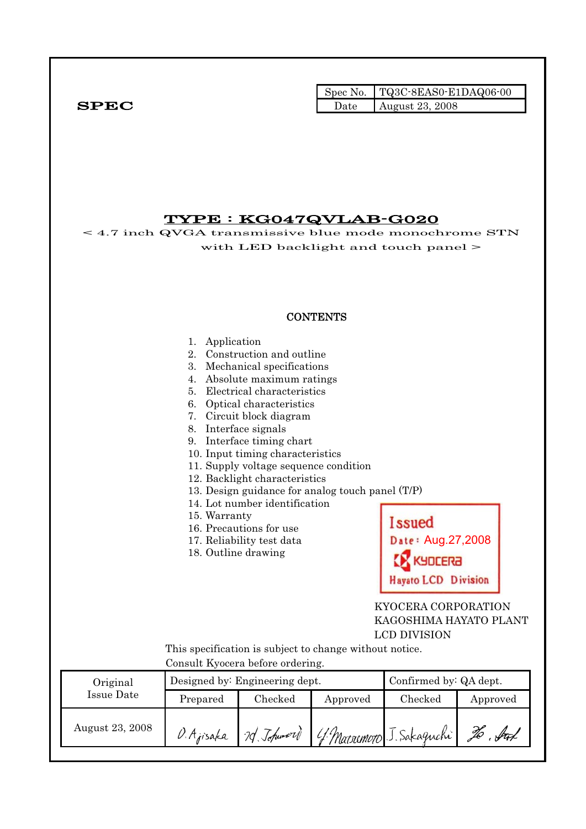|              |      | Spec No. $TQ3C-8EAS0-E1DAQ06-00$ |
|--------------|------|----------------------------------|
| ${\bf SPEC}$ | Date | August 23, 2008                  |

# TYPE : KG047QVLAB-G020

< 4.7 inch QVGA transmissive blue mode monochrome STN with LED backlight and touch panel > **CONTENTS** 1. Application 2. Construction and outline 3. Mechanical specifications 4. Absolute maximum ratings 5. Electrical characteristics 6. Optical characteristics 7. Circuit block diagram 8. Interface signals 9. Interface timing chart 10. Input timing characteristics 11. Supply voltage sequence condition 12. Backlight characteristics 13. Design guidance for analog touch panel (T/P) 14. Lot number identification 15. Warranty Issued 16. Precautions for use Date: Aug.27,2008 17. Reliability test data 18. Outline drawing **SA3JOL Hayato LCD Division**  KYOCERA CORPORATION KAGOSHIMA HAYATO PLANT LCD DIVISION This specification is subject to change without notice. Consult Kyocera before ordering. Original Designed by: Engineering dept. Confirmed by: QA dept. Issue Date Prepared Checked Approved Checked Approved August 23, 2008  $\beta$ . Ajisaka 70. Johnnord To Aut J. Sakaguchi 4 Marsumoto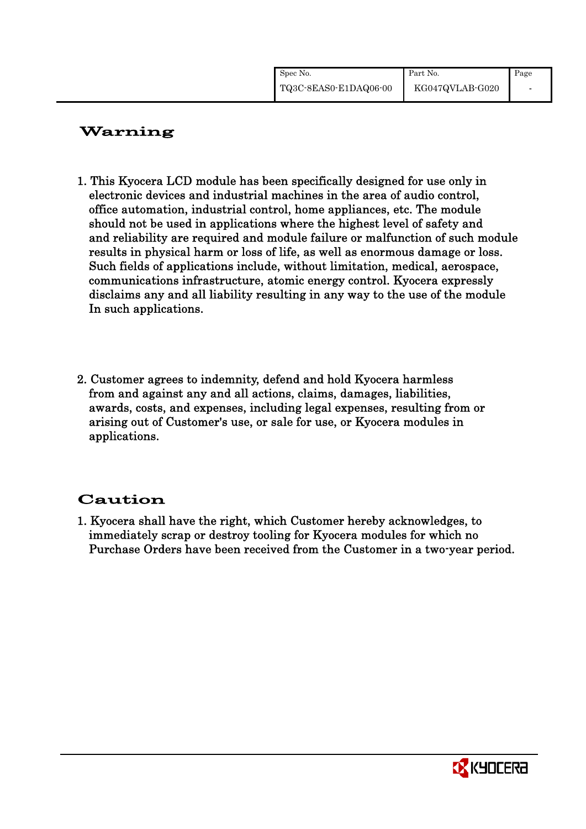| Spec No.              | Part No.        | Page |
|-----------------------|-----------------|------|
| TQ3C-8EAS0-E1DAQ06-00 | KG047QVLAB-G020 |      |

# Warning

- 1. This Kyocera LCD module has been specifically designed for use only in electronic devices and industrial machines in the area of audio control, office automation, industrial control, home appliances, etc. The module should not be used in applications where the highest level of safety and and reliability are required and module failure or malfunction of such module results in physical harm or loss of life, as well as enormous damage or loss. Such fields of applications include, without limitation, medical, aerospace, communications infrastructure, atomic energy control. Kyocera expressly disclaims any and all liability resulting in any way to the use of the module In such applications.
- 2. Customer agrees to indemnity, defend and hold Kyocera harmless from and against any and all actions, claims, damages, liabilities, awards, costs, and expenses, including legal expenses, resulting from or arising out of Customer's use, or sale for use, or Kyocera modules in applications.

# Caution

1. Kyocera shall have the right, which Customer hereby acknowledges, to immediately scrap or destroy tooling for Kyocera modules for which no Purchase Orders have been received from the Customer in a two-year period.

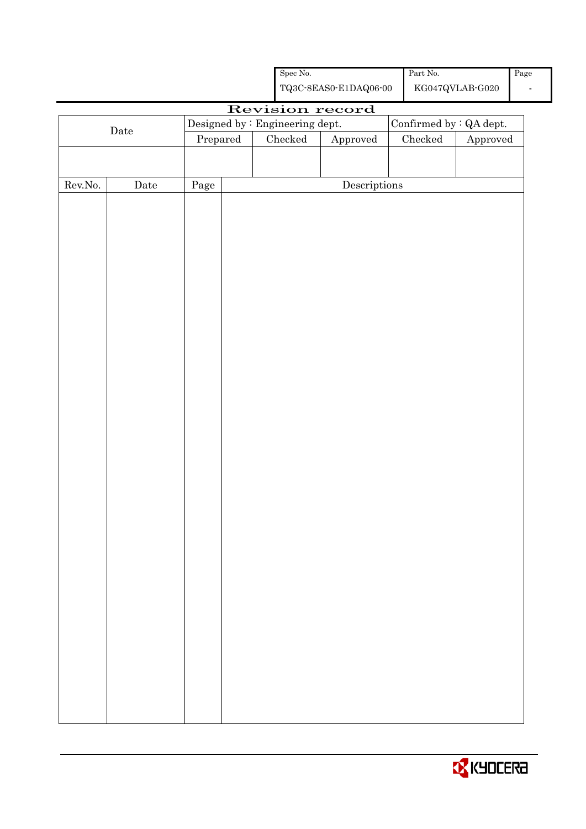|                  |                      |                                 | ${\rm Spec}$ No. |                                                    | $\operatorname*{Part}% \nolimits_{\mathbb{Z}}\nolimits\mathbb{Z}^{\Sigma}$ No. |                                            | Page                     |
|------------------|----------------------|---------------------------------|------------------|----------------------------------------------------|--------------------------------------------------------------------------------|--------------------------------------------|--------------------------|
|                  |                      |                                 |                  | ${\bf TQ3C\text{-}SEAS0\text{-}E1DAQ06\text{-}00}$ |                                                                                | ${\rm KG}047{\rm QVLAB}\mbox{-}{\rm GO}20$ | $\overline{\phantom{a}}$ |
|                  |                      |                                 |                  | Revision record                                    |                                                                                |                                            |                          |
|                  | $\rm{Date}$          | Designed by : Engineering dept. |                  |                                                    |                                                                                | Confirmed by : QA dept.                    |                          |
|                  |                      | Prepared                        | Checked          | Approved                                           | ${\it Checked}$                                                                | Approved                                   |                          |
|                  |                      |                                 |                  |                                                    |                                                                                |                                            |                          |
| ${\rm Rev. No.}$ | $\rm{\textbf{Date}}$ | Page                            |                  | $\label{eq:2} \textbf{Descriptions}$               |                                                                                |                                            |                          |
|                  |                      |                                 |                  |                                                    |                                                                                |                                            |                          |
|                  |                      |                                 |                  |                                                    |                                                                                |                                            |                          |
|                  |                      |                                 |                  |                                                    |                                                                                |                                            |                          |
|                  |                      |                                 |                  |                                                    |                                                                                |                                            |                          |
|                  |                      |                                 |                  |                                                    |                                                                                |                                            |                          |
|                  |                      |                                 |                  |                                                    |                                                                                |                                            |                          |
|                  |                      |                                 |                  |                                                    |                                                                                |                                            |                          |
|                  |                      |                                 |                  |                                                    |                                                                                |                                            |                          |
|                  |                      |                                 |                  |                                                    |                                                                                |                                            |                          |
|                  |                      |                                 |                  |                                                    |                                                                                |                                            |                          |
|                  |                      |                                 |                  |                                                    |                                                                                |                                            |                          |
|                  |                      |                                 |                  |                                                    |                                                                                |                                            |                          |
|                  |                      |                                 |                  |                                                    |                                                                                |                                            |                          |
|                  |                      |                                 |                  |                                                    |                                                                                |                                            |                          |
|                  |                      |                                 |                  |                                                    |                                                                                |                                            |                          |
|                  |                      |                                 |                  |                                                    |                                                                                |                                            |                          |
|                  |                      |                                 |                  |                                                    |                                                                                |                                            |                          |
|                  |                      |                                 |                  |                                                    |                                                                                |                                            |                          |
|                  |                      |                                 |                  |                                                    |                                                                                |                                            |                          |
|                  |                      |                                 |                  |                                                    |                                                                                |                                            |                          |
|                  |                      |                                 |                  |                                                    |                                                                                |                                            |                          |
|                  |                      |                                 |                  |                                                    |                                                                                |                                            |                          |
|                  |                      |                                 |                  |                                                    |                                                                                |                                            |                          |
|                  |                      |                                 |                  |                                                    |                                                                                |                                            |                          |
|                  |                      |                                 |                  |                                                    |                                                                                |                                            |                          |
|                  |                      |                                 |                  |                                                    |                                                                                |                                            |                          |
|                  |                      |                                 |                  |                                                    |                                                                                |                                            |                          |
|                  |                      |                                 |                  |                                                    |                                                                                |                                            |                          |
|                  |                      |                                 |                  |                                                    |                                                                                |                                            |                          |
|                  |                      |                                 |                  |                                                    |                                                                                |                                            |                          |

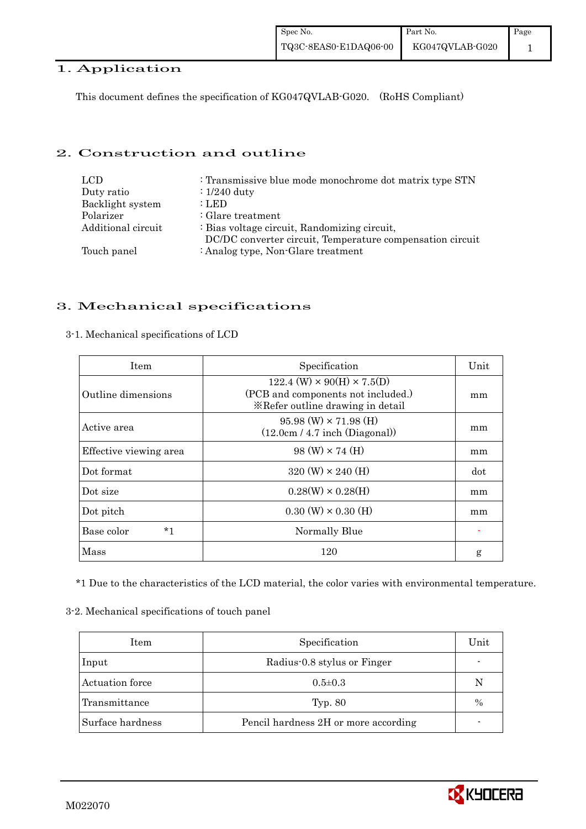# 1. Application

This document defines the specification of KG047QVLAB-G020. (RoHS Compliant)

## 2. Construction and outline

| LCD.               | : Transmissive blue mode monochrome dot matrix type STN                                                   |
|--------------------|-----------------------------------------------------------------------------------------------------------|
| Duty ratio         | $\div 1/240$ duty                                                                                         |
| Backlight system   | : LED                                                                                                     |
| Polarizer          | $\therefore$ Glare treatment                                                                              |
| Additional circuit | : Bias voltage circuit, Randomizing circuit,<br>DC/DC converter circuit, Temperature compensation circuit |
| Touch panel        | : Analog type, Non-Glare treatment                                                                        |

## 3. Mechanical specifications

## 3-1. Mechanical specifications of LCD

| <b>Item</b>            | Specification                                                                                                        | Unit |  |
|------------------------|----------------------------------------------------------------------------------------------------------------------|------|--|
| Outline dimensions     | $122.4$ (W) $\times$ 90(H) $\times$ 7.5(D)<br>(PCB and components not included.)<br>*Refer outline drawing in detail |      |  |
| Active area            | $95.98$ (W) $\times$ 71.98 (H)<br>(12.0cm / 4.7 inch (Diagonal))                                                     | mm   |  |
| Effective viewing area | $98 \text{ (W)} \times 74 \text{ (H)}$                                                                               | mm   |  |
| Dot format             | $320 \text{ (W)} \times 240 \text{ (H)}$                                                                             | dot  |  |
| Dot size               | $0.28(W) \times 0.28(H)$                                                                                             | mm   |  |
| Dot pitch              | $0.30 \ (W) \times 0.30 \ (H)$                                                                                       | mm   |  |
| *1<br>Base color       | Normally Blue                                                                                                        |      |  |
| Mass                   | 120                                                                                                                  | g    |  |

\*1 Due to the characteristics of the LCD material, the color varies with environmental temperature.

3-2. Mechanical specifications of touch panel

| Item             | Specification                        | Unit |
|------------------|--------------------------------------|------|
| Input            | Radius-0.8 stylus or Finger          |      |
| Actuation force  | $0.5 \pm 0.3$                        | N    |
| Transmittance    | Typ. $80$                            | $\%$ |
| Surface hardness | Pencil hardness 2H or more according |      |

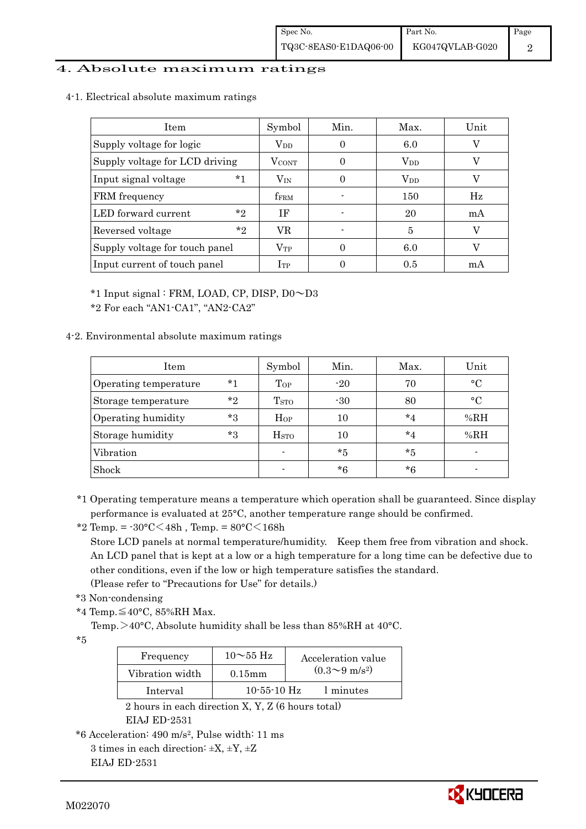## 4. Absolute maximum ratings

4-1. Electrical absolute maximum ratings

| <b>Item</b>                    | Symbol                  | Min. | Max.         | Unit |
|--------------------------------|-------------------------|------|--------------|------|
| Supply voltage for logic       | $V_{DD}$                | 0    | 6.0          |      |
| Supply voltage for LCD driving | <b>VCONT</b>            |      | $\rm V_{DD}$ |      |
| $*1$<br>Input signal voltage   | $\rm V_{IN}$            |      | $\rm V_{DD}$ |      |
| FRM frequency                  | <b>f</b> <sub>FRM</sub> |      | 150          | Hz   |
| $*_{2}$<br>LED forward current | ΙF                      |      | 20           | mA   |
| $*_{2}$<br>Reversed voltage    | VR                      |      | 5            |      |
| Supply voltage for touch panel | $\rm V_{TP}$            |      | 6.0          |      |
| Input current of touch panel   | $_{\rm{Irp}}$           |      | 0.5          | mA   |

\*1 Input signal : FRM, LOAD, CP, DISP, D0~D3

\*2 For each "AN1-CA1", "AN2-CA2"

## 4-2. Environmental absolute maximum ratings

| Item                  |         | Symbol                  | Min.    | Max.    | Unit        |
|-----------------------|---------|-------------------------|---------|---------|-------------|
| Operating temperature | $*1$    | Top                     | $-20$   | 70      | $\circ$ C   |
| Storage temperature   | $*$ ?   | T <sub>STO</sub>        | $-30$   | 80      | $^{\circ}C$ |
| Operating humidity    | *3      | $H_{OP}$                | 10      | $*_{4}$ | %RH         |
| Storage humidity      | $*_{3}$ | <b>H</b> <sub>sto</sub> | 10      | $*_{4}$ | %RH         |
| Vibration             |         | $\blacksquare$          | $*_{5}$ | $*5$    |             |
| Shock                 |         | $\blacksquare$          | $*6$    | *6      |             |

\*1 Operating temperature means a temperature which operation shall be guaranteed. Since display performance is evaluated at 25°C, another temperature range should be confirmed.

\*2 Temp. =  $-30^{\circ}$ C $<$ 48h, Temp. =  $80^{\circ}$ C $<$ 168h

 Store LCD panels at normal temperature/humidity. Keep them free from vibration and shock. An LCD panel that is kept at a low or a high temperature for a long time can be defective due to other conditions, even if the low or high temperature satisfies the standard.

(Please refer to "Precautions for Use" for details.)

- \*3 Non-condensing
- \*4 Temp.≦40°C, 85%RH Max.

Temp.  $>40^{\circ}$ C, Absolute humidity shall be less than 85%RH at 40 $^{\circ}$ C.

\*5

| Frequency       | $10\sim$ 55 Hz | Acceleration value           |
|-----------------|----------------|------------------------------|
| Vibration width | $0.15$ mm      | $(0.3 \sim 9 \text{ m/s}^2)$ |
| Interval        | $10-55-10$ Hz  | 1 minutes                    |

 2 hours in each direction X, Y, Z (6 hours total) EIAJ ED-2531

\*6 Acceleration: 490 m/s2, Pulse width: 11 ms

3 times in each direction:  $\pm X$ ,  $\pm Y$ ,  $\pm Z$ EIAJ ED-2531

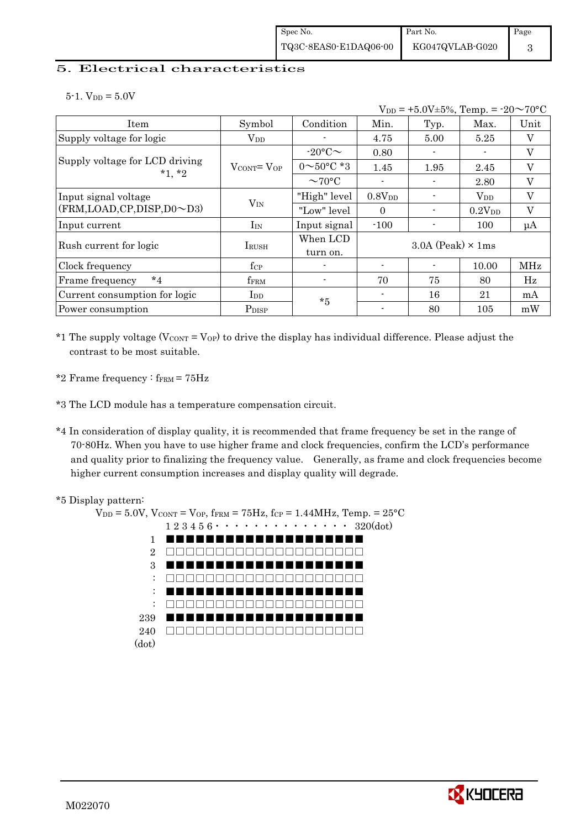## 5. Electrical characteristics

 $5-1.$  V<sub>DD</sub> =  $5.0V$ 

|                                            |                                   |                          |                          | $V_{DD} = +5.0V \pm 5\%,$ Temp. = $-20 \sim 70$ °C |                    |            |
|--------------------------------------------|-----------------------------------|--------------------------|--------------------------|----------------------------------------------------|--------------------|------------|
| Item                                       | Symbol                            | Condition                | Min.                     | Typ.                                               | Max.               | Unit       |
| Supply voltage for logic                   | $V_{DD}$                          |                          | 4.75                     | 5.00                                               | 5.25               | V          |
|                                            |                                   | $-20$ °C $\sim$          | 0.80                     |                                                    |                    | V          |
| Supply voltage for LCD driving<br>$*1, *2$ | $V_{\text{CONT}} = V_{\text{OP}}$ | $0 \sim 50^{\circ}$ C *3 | 1.45                     | 1.95                                               | 2.45               | V          |
|                                            |                                   | $\sim$ 70°C              |                          |                                                    | 2.80               | V          |
| Input signal voltage                       |                                   | "High" level             | 0.8V <sub>DD</sub>       |                                                    | $\rm V_{DD}$       | V          |
| (FRM, LOAD, CP, DISP, D0~D3)               | $V_{IN}$                          | "Low" level              | $\Omega$                 |                                                    | 0.2V <sub>DD</sub> | V          |
| Input current                              | $I_{IN}$                          | Input signal             | $-100$                   |                                                    | 100                | $\mu A$    |
| Rush current for logic                     | IRUSH                             | When LCD<br>turn on.     |                          | $3.0A$ (Peak) $\times$ 1ms                         |                    |            |
| Clock frequency                            | $f_{\rm CP}$                      |                          | $\overline{\phantom{0}}$ |                                                    | 10.00              | <b>MHz</b> |
| $*_{4}$<br>Frame frequency                 | f <sub>FRM</sub>                  | $\blacksquare$           | 70                       | 75                                                 | 80                 | Hz         |
| Current consumption for logic              | $_{\rm{LDD}}$                     | $*5$                     |                          | 16                                                 | 21                 | mA         |
| Power consumption                          | P <sub>DISP</sub>                 |                          |                          | 80                                                 | 105                | mW         |

\*1 The supply voltage ( $V_{CONT} = V_{OP}$ ) to drive the display has individual difference. Please adjust the contrast to be most suitable.

\*2 Frame frequency :  $f_{\text{FRM}}$  =  $75\text{Hz}$ 

\*3 The LCD module has a temperature compensation circuit.

\*4 In consideration of display quality, it is recommended that frame frequency be set in the range of 70-80Hz. When you have to use higher frame and clock frequencies, confirm the LCD's performance and quality prior to finalizing the frequency value. Generally, as frame and clock frequencies become higher current consumption increases and display quality will degrade.



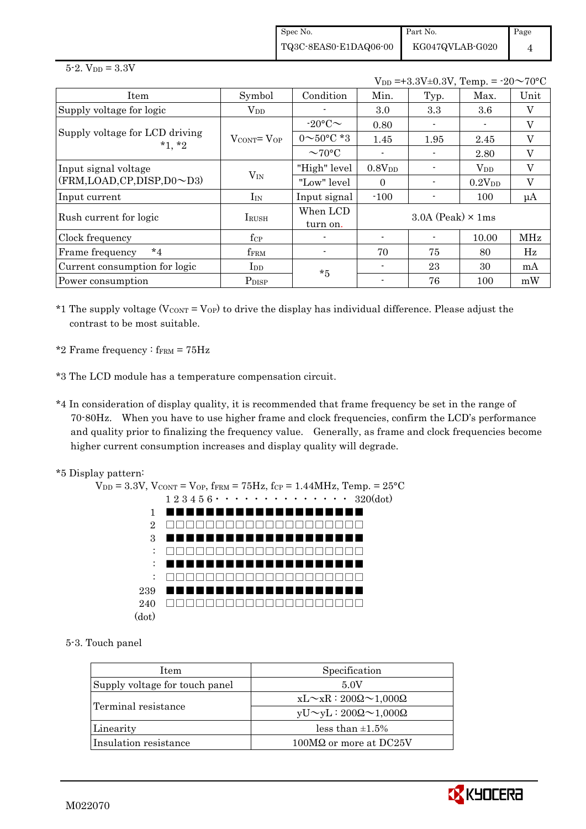Spec No. TQ3C-8EAS0-E1DAQ06-00 Part No. KG047QVLAB-G020 Page 4

 $5 - 2.$  V<sub>DD</sub> =  $3.3V$ 

|                                            |                                   |                          |                | $V_{DD} = +3.3V \pm 0.3V$ , Temp. = $-20 \sim 70$ °C |              |            |
|--------------------------------------------|-----------------------------------|--------------------------|----------------|------------------------------------------------------|--------------|------------|
| Item                                       | Symbol                            | Condition                | Min.           | Typ.                                                 | Max.         | Unit       |
| Supply voltage for logic                   | $\rm V_{DD}$                      |                          | 3.0            | 3.3                                                  | 3.6          | V          |
|                                            |                                   | $-20$ °C $\sim$          | 0.80           |                                                      |              | V          |
| Supply voltage for LCD driving<br>$*1, *2$ | $V_{\text{CONT}} = V_{\text{OP}}$ | $0 \sim 50^{\circ}$ C *3 | 1.45           | 1.95                                                 | 2.45         | V          |
|                                            |                                   | $\sim$ 70°C              |                |                                                      | 2.80         | V          |
| Input signal voltage                       |                                   | "High" level             | $0.8V_{DD}$    |                                                      | $\rm V_{DD}$ | V          |
| $(FRM, LOAD, CP, DISP, D0 \sim D3)$        | $V_{IN}$                          | "Low" level              | $\Omega$       |                                                      | $0.2V_{DD}$  | V          |
| Input current                              | $I_{IN}$                          | Input signal             | $-100$         |                                                      | 100          | $\mu A$    |
| Rush current for logic                     |                                   | When LCD                 |                | $3.0A$ (Peak) $\times$ 1ms                           |              |            |
|                                            | $I_{\rm RUSH}$                    | turn on.                 |                |                                                      |              |            |
| Clock frequency                            | $f_{\rm CP}$                      |                          |                |                                                      | 10.00        | <b>MHz</b> |
| $*_{4}$<br>Frame frequency                 | fFRM                              | $\blacksquare$           | 70             | 75                                                   | 80           | Hz         |
| Current consumption for logic              | $_{\rm{LDD}}$                     | $*5$                     |                | 23                                                   | 30           | mA         |
| Power consumption                          | P <sub>DISP</sub>                 |                          | $\blacksquare$ | 76                                                   | 100          | mW         |

\*1 The supply voltage  $(V_{\text{CONT}} = V_{\text{OP}})$  to drive the display has individual difference. Please adjust the contrast to be most suitable.

- \*2 Frame frequency :  $f_{\text{FRM}} = 75 \text{Hz}$
- \*3 The LCD module has a temperature compensation circuit.
- \*4 In consideration of display quality, it is recommended that frame frequency be set in the range of 70-80Hz. When you have to use higher frame and clock frequencies, confirm the LCD's performance and quality prior to finalizing the frequency value. Generally, as frame and clock frequencies become higher current consumption increases and display quality will degrade.
- \*5 Display pattern:

 $V_{DD} = 3.3V$ ,  $V_{CONT} = V_{OP}$ ,  $f_{FRM} = 75Hz$ ,  $f_{CP} = 1.44MHz$ ,  $Temp. = 25°C$  1 2 3 4 5 6・・・・・・・・・・・・・・ 320(dot) 1 2 3 : : : 239 240 (dot) ■■■■■■■■■■■■■■■■■■■■ □□□□□□□□□□□□□□□□□□□□ ■■■■■■■■■■■■■■■■■■■■ □□□□□□□□□□□□□□□□□□□□ ■■■■■■■■■■■■■■■■■■■■ □□□□□□□□□□□□□□□□□□□□ ■■■■■■■■■■■■■■■■■■■■ □□□□□□□□□□□□□□□□□□□□

5-3. Touch panel

| <b>Item</b>                    | Specification                             |
|--------------------------------|-------------------------------------------|
| Supply voltage for touch panel | 5.0V                                      |
| Terminal resistance            | $xL \sim xR : 200\Omega \sim 1,000\Omega$ |
|                                | $yU \sim yL : 200\Omega \sim 1,000\Omega$ |
| Linearity                      | less than $\pm 1.5\%$                     |
| Insulation resistance          | 100MΩ or more at DC25V                    |

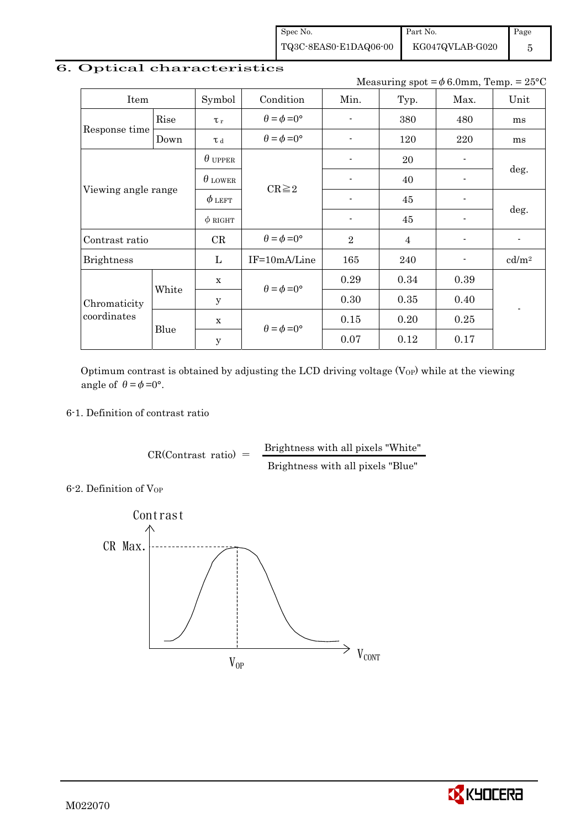Spec No. TQ3C-8EAS0-E1DAQ06-00

KG047QVLAB-G020

Page 5

# 6. Optical characteristics

Measuring spot =  $\phi$  6.0mm, Temp. = 25°C

Part No.

| Item                        |                                      | Symbol         | Condition                   | Min.           | Typ.           | Max.                     | Unit                     |  |
|-----------------------------|--------------------------------------|----------------|-----------------------------|----------------|----------------|--------------------------|--------------------------|--|
|                             | Rise                                 | $\tau_r$       | $\theta = \phi = 0^{\circ}$ |                | 380            | 480                      | ms                       |  |
| Response time               | Down                                 | T d            | $\theta = \phi = 0^{\circ}$ |                | 120            | 220                      | ms                       |  |
|                             |                                      | $\theta$ upper |                             | $\blacksquare$ | 20             | $\blacksquare$           |                          |  |
| Viewing angle range         |                                      | $\theta$ lower | $CR \geq 2$                 |                | 40             | $\overline{\phantom{0}}$ | deg.                     |  |
|                             |                                      | $\phi$ left    |                             |                | 45             |                          | deg.                     |  |
|                             |                                      | $\phi$ right   |                             |                | 45             |                          |                          |  |
| Contrast ratio              |                                      | CR             | $\theta = \phi = 0^{\circ}$ | $\overline{2}$ | $\overline{4}$ | $\overline{\phantom{0}}$ | $\overline{\phantom{a}}$ |  |
| <b>Brightness</b>           |                                      | L              | IF=10mA/Line                | 165            | 240            | $\overline{\phantom{a}}$ | cd/m <sup>2</sup>        |  |
|                             | $\mathbf x$<br>White<br>$\mathbf{y}$ |                | $\theta = \phi = 0^{\circ}$ | 0.29           | 0.34           | 0.39                     |                          |  |
| Chromaticity<br>coordinates |                                      |                |                             | 0.30           | 0.35           | 0.40                     |                          |  |
|                             |                                      | $\mathbf x$    |                             | 0.15           | 0.20           | 0.25                     |                          |  |
|                             | Blue                                 | $\mathbf y$    | $\theta = \phi = 0^{\circ}$ | 0.07           | 0.12           | 0.17                     |                          |  |

Optimum contrast is obtained by adjusting the LCD driving voltage  $(V_{OP})$  while at the viewing angle of  $\theta = \phi = 0^{\circ}$ .

### 6-1. Definition of contrast ratio

 $CR(Contrast ratio) =$  Brightness with all pixels "White" Brightness with all pixels "Blue"

6-2. Definition of Vor



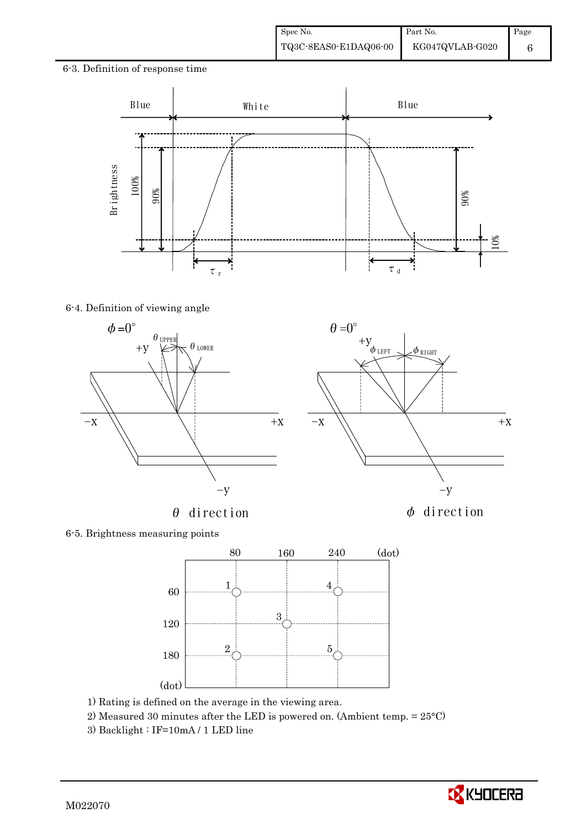### 6-3. Definition of response time



 $\theta=0^\circ$ 

# 6-4. Definition of viewing angle



 $\theta$  direction  $\phi$  direction



6-5. Brightness measuring points



- 1) Rating is defined on the average in the viewing area.
- 2) Measured 30 minutes after the LED is powered on. (Ambient temp. = 25°C)
- 3) Backlight : IF=10mA / 1 LED line

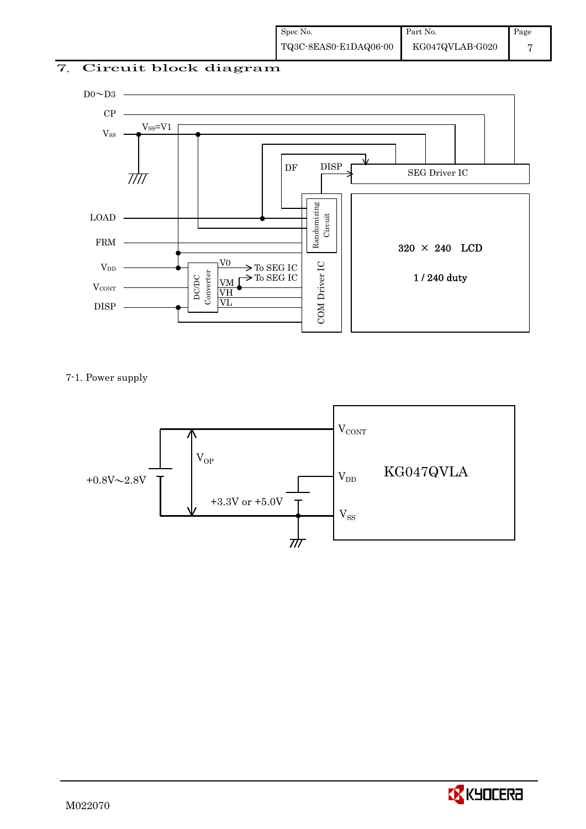# 7. Circuit block diagram



7-1. Power supply



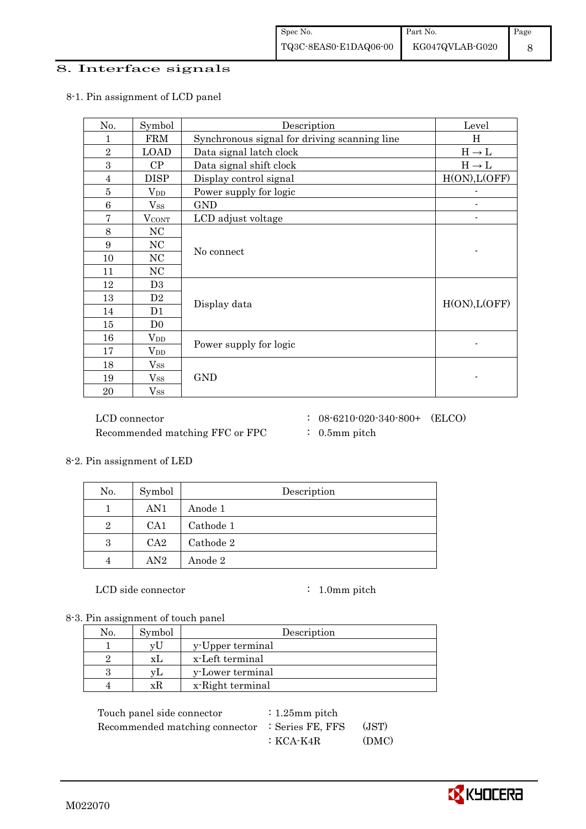### 8. Interface signals

### 8-1. Pin assignment of LCD panel

| No.             | Symbol            | Description                                  | Level             |
|-----------------|-------------------|----------------------------------------------|-------------------|
| 1               | <b>FRM</b>        | Synchronous signal for driving scanning line | H                 |
| $\sqrt{2}$      | <b>LOAD</b>       | Data signal latch clock                      | $H\to L$          |
| 3               | CP                | Data signal shift clock                      | $H \rightarrow L$ |
| $\overline{4}$  | <b>DISP</b>       | Display control signal                       | H(ON), L(OFF)     |
| 5               | $\rm V_{DD}$      | Power supply for logic                       |                   |
| $6\phantom{1}6$ | $V_{SS}$          | <b>GND</b>                                   |                   |
| 7               | <b>VCONT</b>      | LCD adjust voltage                           |                   |
| 8               | NC                |                                              |                   |
| 9               | NC                |                                              |                   |
| 10              | $\rm NC$          | No connect                                   |                   |
| 11              | NC                |                                              |                   |
| 12              | D <sub>3</sub>    |                                              |                   |
| 13              | D <sub>2</sub>    | Display data                                 | H(ON), L(OFF)     |
| 14              | D1                |                                              |                   |
| 15              | D <sub>0</sub>    |                                              |                   |
| 16              | $V_{DD}$          |                                              |                   |
| 17              | $\rm V_{DD}$      | Power supply for logic                       |                   |
| 18              | $\mathrm{V_{SS}}$ |                                              |                   |
| 19              | $V_{SS}$          | <b>GND</b>                                   |                   |
| 20              | $\mathrm{V_{SS}}$ |                                              |                   |

 $\rm{LCD~connector} \hspace{1.5cm} : \hspace{.3cm} 08\text{-}6210\text{-}020\text{-}340\text{-}800+ \hspace{.3cm} (\rm{ELCO})$ Recommended matching FFC or FPC : 0.5mm pitch

### 8-2. Pin assignment of LED

| No.            | Symbol          | Description |
|----------------|-----------------|-------------|
|                | AN1             | Anode 1     |
| $\overline{2}$ | CA <sub>1</sub> | Cathode 1   |
| 3              | CA2             | Cathode 2   |
|                | AN2             | Anode 2     |

LCD side connector : 1.0mm pitch

8-3. Pin assignment of touch panel

| No. | Symbol | Description      |
|-----|--------|------------------|
|     | vl     | y-Upper terminal |
|     | хL     | x-Left terminal  |
| З   | VL.    | y-Lower terminal |
| ⊿   | xК     | x-Right terminal |

Touch panel side connector : 1.25mm pitch Recommended matching connector : Series FE, FFS (JST) :KCA-K4R (DMC)

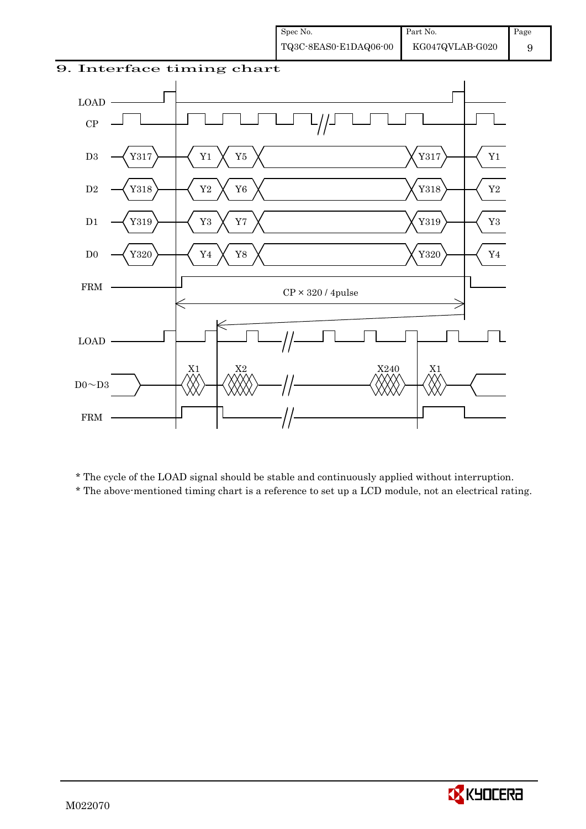9





\* The cycle of the LOAD signal should be stable and continuously applied without interruption.

\* The above-mentioned timing chart is a reference to set up a LCD module, not an electrical rating.

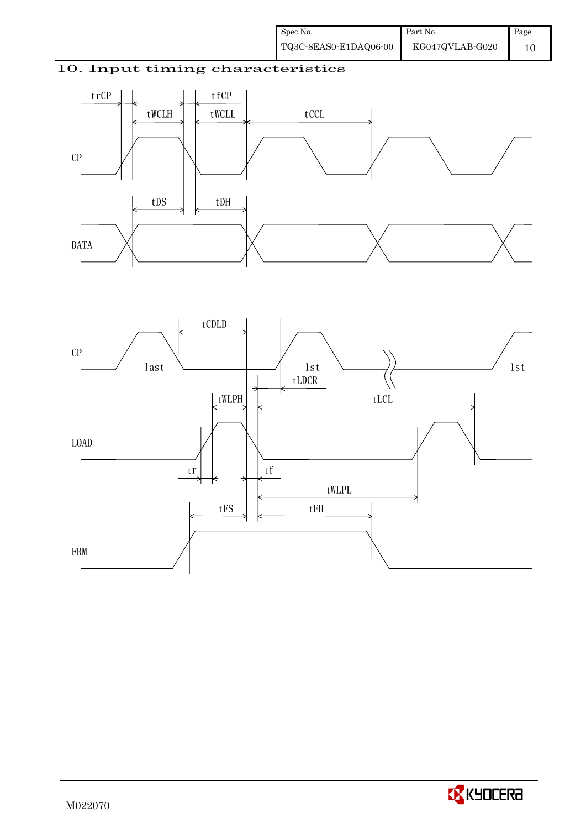# 10. Input timing characteristics





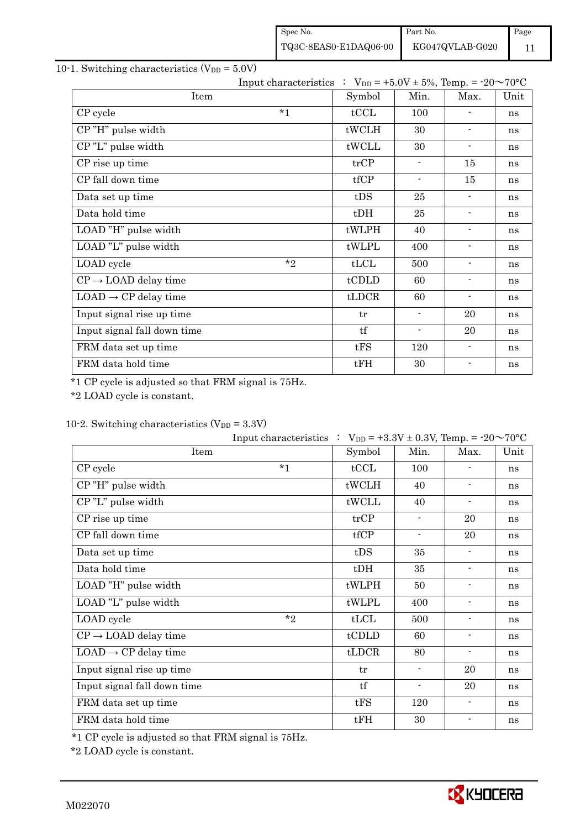| Spec No.              | Part No.        | Page |
|-----------------------|-----------------|------|
| TQ3C-8EAS0-E1DAQ06-00 | KG047QVLAB-G020 |      |

# 10-1. Switching characteristics  $(V_{DD} = 5.0V)$

| Input characteristics : $V_{DD} = +5.0V \pm 5\%$ , Temp. = $-20 \sim 70^{\circ}C$ |        |                          |                              |      |
|-----------------------------------------------------------------------------------|--------|--------------------------|------------------------------|------|
| Item                                                                              | Symbol | Min.                     | Max.                         | Unit |
| $*1$<br>CP cycle                                                                  | tCCL   | 100                      |                              | ns   |
| CP"H" pulse width                                                                 | tWCLH  | 30                       | $\overline{\phantom{a}}$     | ns   |
| CP"L" pulse width                                                                 | tWCLL  | 30                       | $\overline{\phantom{a}}$     | ns   |
| CP rise up time                                                                   | trCP   | $\overline{\phantom{a}}$ | 15                           | ns   |
| CP fall down time                                                                 | tfCP   | $\overline{\phantom{a}}$ | 15                           | ns   |
| Data set up time                                                                  | tDS    | 25                       | $\blacksquare$               | ns   |
| Data hold time                                                                    | $t$ DH | 25                       | $\blacksquare$               | ns   |
| LOAD "H" pulse width                                                              | tWLPH  | 40                       | $\overline{\phantom{a}}$     | ns   |
| LOAD "L" pulse width                                                              | tWLPL  | 400                      | $\overline{\phantom{a}}$     | ns   |
| $*_{2}$<br>LOAD cycle                                                             | tLCL   | 500                      | $\blacksquare$               | ns   |
| $CP \rightarrow$ LOAD delay time                                                  | tCDLD  | 60                       | $\qquad \qquad \blacksquare$ | ns   |
| $LOAD \rightarrow CP$ delay time                                                  | tLDCR  | 60                       | $\blacksquare$               | ns   |
| Input signal rise up time                                                         | tr     | $\overline{\phantom{a}}$ | 20                           | ns   |
| Input signal fall down time                                                       | tf     | $\overline{\phantom{a}}$ | 20                           | ns   |
| FRM data set up time                                                              | tFS    | 120                      | $\overline{\phantom{a}}$     | ns   |
| FRM data hold time                                                                | tFH    | 30                       | $\blacksquare$               | ns   |

\*1 CP cycle is adjusted so that FRM signal is 75Hz.

\*2 LOAD cycle is constant.

|  |  | 10-2. Switching characteristics $(V_{DD} = 3.3V)$ |  |
|--|--|---------------------------------------------------|--|
|--|--|---------------------------------------------------|--|

|                                  | Input characteristics : $V_{DD} = +3.3V \pm 0.3V$ , Temp. = -20~70°C |        |                          |                          |      |
|----------------------------------|----------------------------------------------------------------------|--------|--------------------------|--------------------------|------|
| Item                             |                                                                      | Symbol | Min.                     | Max.                     | Unit |
| CP cycle                         | $*_{1}$                                                              | tCCL   | 100                      |                          | ns   |
| CP"H" pulse width                |                                                                      | tWCLH  | 40                       | $\overline{\phantom{a}}$ | ns   |
| CP"L" pulse width                |                                                                      | tWCLL  | 40                       | $\overline{\phantom{a}}$ | ns   |
| CP rise up time                  |                                                                      | trCP   | $\overline{\phantom{a}}$ | 20                       | ns   |
| CP fall down time                |                                                                      | tfCP   | $\overline{\phantom{a}}$ | 20                       | ns   |
| Data set up time                 |                                                                      | tDS    | 35                       | $\blacksquare$           | ns   |
| Data hold time                   |                                                                      | $t$ DH | 35                       | $\overline{\phantom{a}}$ | ns   |
| LOAD "H" pulse width             |                                                                      | tWLPH  | 50                       | $\overline{\phantom{a}}$ | ns   |
| LOAD "L" pulse width             |                                                                      | tWLPL  | 400                      | $\overline{\phantom{a}}$ | ns   |
| LOAD cycle                       | $*$ ?                                                                | tLCL   | 500                      | $\blacksquare$           | ns   |
| $CP \rightarrow$ LOAD delay time |                                                                      | tCDLD  | 60                       | $\overline{\phantom{a}}$ | ns   |
| $LOAD \rightarrow CP$ delay time |                                                                      | tLDCR  | 80                       | $\blacksquare$           | ns   |
| Input signal rise up time        |                                                                      | tr     | $\blacksquare$           | 20                       | ns   |
| Input signal fall down time      |                                                                      | tf     | $\blacksquare$           | 20                       | ns   |
| FRM data set up time             |                                                                      | tFS    | 120                      | $\overline{\phantom{a}}$ | ns   |
| FRM data hold time               |                                                                      | tFH    | 30                       |                          | ns   |

\*1 CP cycle is adjusted so that FRM signal is 75Hz.

\*2 LOAD cycle is constant.

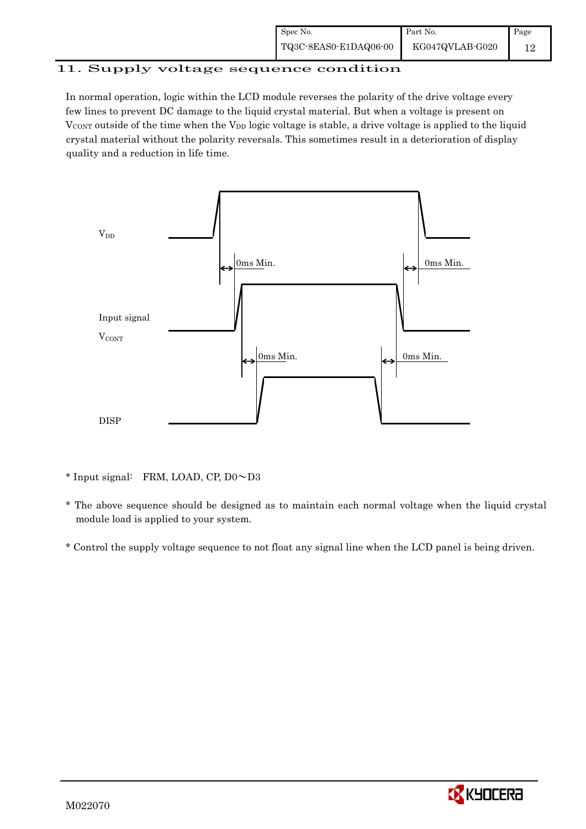| Spec No.              | Part No.        | Page |
|-----------------------|-----------------|------|
| TQ3C-8EAS0-E1DAQ06-00 | KG047QVLAB-G020 |      |

# 11. Supply voltage sequence condition

In normal operation, logic within the LCD module reverses the polarity of the drive voltage every few lines to prevent DC damage to the liquid crystal material. But when a voltage is present on  $V_{\text{CONT}}$  outside of the time when the  $V_{\text{DD}}$  logic voltage is stable, a drive voltage is applied to the liquid crystal material without the polarity reversals. This sometimes result in a deterioration of display quality and a reduction in life time.



<sup>\*</sup> Input signal: FRM, LOAD, CP, D0~D3

 \* The above sequence should be designed as to maintain each normal voltage when the liquid crystal module load is applied to your system.

\* Control the supply voltage sequence to not float any signal line when the LCD panel is being driven.

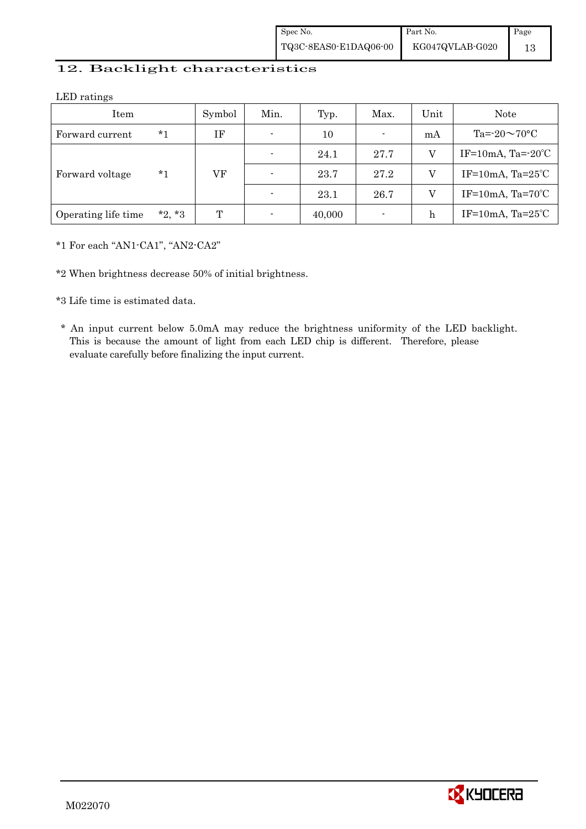| Spec No.              | Part No.        | Page |
|-----------------------|-----------------|------|
| TQ3C-8EAS0-E1DAQ06-00 | KG047QVLAB-G020 |      |

## 12. Backlight characteristics

LED ratings

| Item                |          | Symbol | Min.           | Typ.   | Max.           | Unit | Note                         |
|---------------------|----------|--------|----------------|--------|----------------|------|------------------------------|
| Forward current     | *1       | ΙF     | $\blacksquare$ | 10     | $\blacksquare$ | mA   | Ta= $-20 \sim 70$ °C         |
|                     |          |        | $\blacksquare$ | 24.1   | 27.7           | V    | IF=10mA, Ta= $-20^{\circ}$ C |
| Forward voltage     | *1       | VF     | $\blacksquare$ | 23.7   | 27.2           | V    | IF=10mA, $Ta=25^{\circ}C$    |
|                     |          |        | $\overline{a}$ | 23.1   | 26.7           | V    | IF=10mA, $Ta=70^{\circ}C$    |
| Operating life time | $*2, *3$ | T      | $\overline{a}$ | 40,000 |                | h    | IF=10mA, $Ta=25^{\circ}C$    |

\*1 For each "AN1-CA1", "AN2-CA2"

\*2 When brightness decrease 50% of initial brightness.

\*3 Life time is estimated data.

 \* An input current below 5.0mA may reduce the brightness uniformity of the LED backlight. This is because the amount of light from each LED chip is different. Therefore, please evaluate carefully before finalizing the input current.

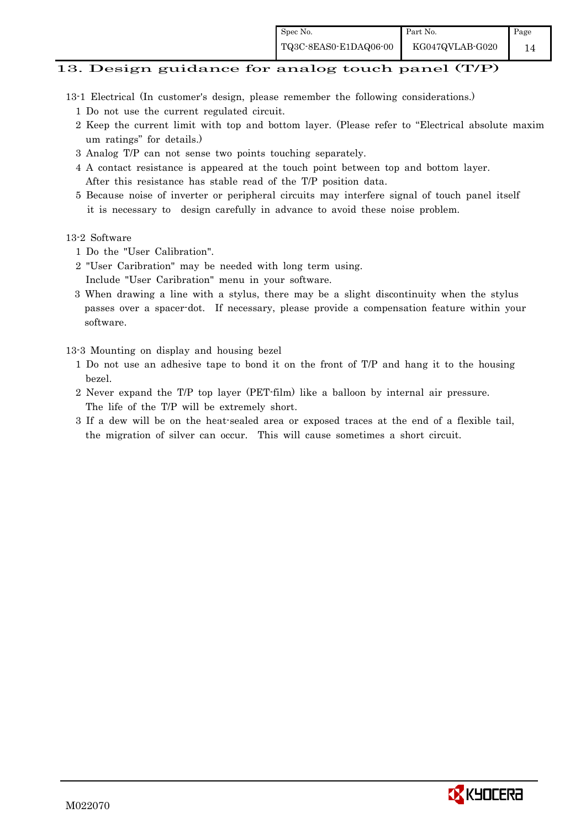# 13. Design guidance for analog touch panel (T/P)

- 13-1 Electrical (In customer's design, please remember the following considerations.)
	- 1 Do not use the current regulated circuit.
	- 2 Keep the current limit with top and bottom layer. (Please refer to "Electrical absolute maxim um ratings" for details.)
	- 3 Analog T/P can not sense two points touching separately.
	- 4 A contact resistance is appeared at the touch point between top and bottom layer. After this resistance has stable read of the T/P position data.
	- 5 Because noise of inverter or peripheral circuits may interfere signal of touch panel itself it is necessary to design carefully in advance to avoid these noise problem.

### 13-2 Software

- 1 Do the "User Calibration".
- 2 "User Caribration" may be needed with long term using.
- Include "User Caribration" menu in your software.
- 3 When drawing a line with a stylus, there may be a slight discontinuity when the stylus passes over a spacer-dot. If necessary, please provide a compensation feature within your software.

13-3 Mounting on display and housing bezel

- 1 Do not use an adhesive tape to bond it on the front of T/P and hang it to the housing bezel.
- 2 Never expand the T/P top layer (PET-film) like a balloon by internal air pressure. The life of the T/P will be extremely short.
- 3 If a dew will be on the heat-sealed area or exposed traces at the end of a flexible tail, the migration of silver can occur. This will cause sometimes a short circuit.

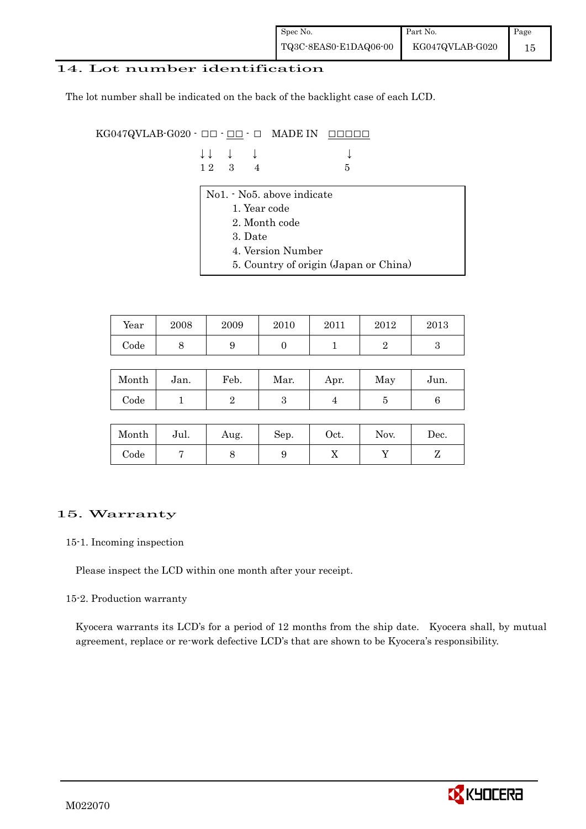| Spec No.              | Part No.        | Page |
|-----------------------|-----------------|------|
| TQ3C-8EAS0-E1DAQ06-00 | KG047QVLAB-G020 |      |

### 14. Lot number identification

The lot number shall be indicated on the back of the backlight case of each LCD.

KG047QVLAB-G020 -  $\Box$  $\Box$   $\Box$   $\Box$  MADE IN  $\Box$  $\Box$  $\Box$  $\Box$ 

| $\downarrow \downarrow$ $\downarrow$ $\downarrow$ |  |                 |
|---------------------------------------------------|--|-----------------|
| $12 \quad 3 \quad 4$                              |  | $5\overline{5}$ |

- No1. No5. above indicate
	- 1. Year code
	- 2. Month code
	- 3. Date
	- 4. Version Number
	- 5. Country of origin (Japan or China)

| Year | 2008 | 2009 | 2010 | 2011 | 2012 | 2013 |
|------|------|------|------|------|------|------|
| Code | ັ    |      |      |      |      |      |

| Month | Jan. | Feb. | Mar. | Apr. | May | Jun. |
|-------|------|------|------|------|-----|------|
| Code  |      |      | ౿    |      |     |      |

| Month      | Jul. | Aug. | Sep. | $_{\rm Oct.}$ | Nov. | Dec. |
|------------|------|------|------|---------------|------|------|
| $\rm Code$ |      |      |      | ∡⊾            |      |      |

## 15. Warranty

### 15-1. Incoming inspection

Please inspect the LCD within one month after your receipt.

### 15-2. Production warranty

 Kyocera warrants its LCD's for a period of 12 months from the ship date. Kyocera shall, by mutual agreement, replace or re-work defective LCD's that are shown to be Kyocera's responsibility.

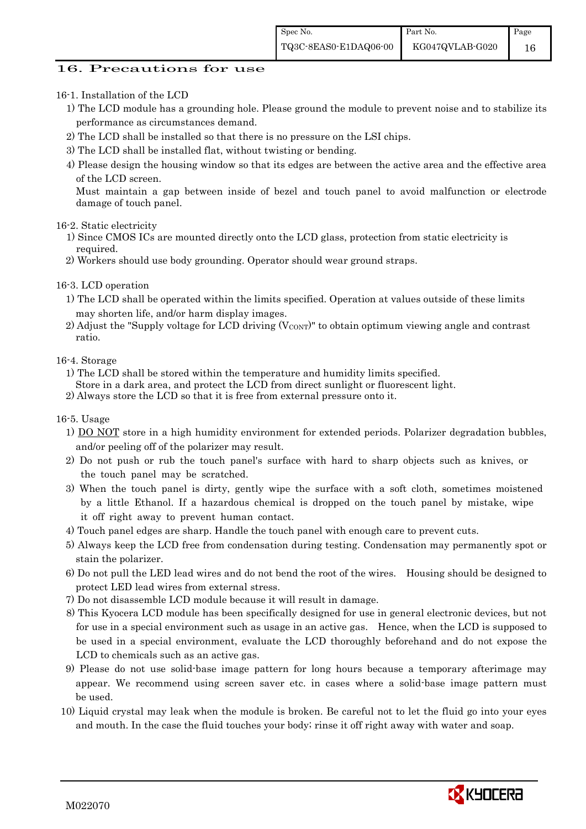## 16. Precautions for use

### 16-1. Installation of the LCD

- 1) The LCD module has a grounding hole. Please ground the module to prevent noise and to stabilize its performance as circumstances demand.
- 2) The LCD shall be installed so that there is no pressure on the LSI chips.
- 3) The LCD shall be installed flat, without twisting or bending.

4) Please design the housing window so that its edges are between the active area and the effective area of the LCD screen.

Must maintain a gap between inside of bezel and touch panel to avoid malfunction or electrode damage of touch panel.

### 16-2. Static electricity

- 1) Since CMOS ICs are mounted directly onto the LCD glass, protection from static electricity is required.
- 2) Workers should use body grounding. Operator should wear ground straps.

### 16-3. LCD operation

- 1) The LCD shall be operated within the limits specified. Operation at values outside of these limits may shorten life, and/or harm display images.
- 2) Adjust the "Supply voltage for LCD driving  $(V_{\text{CONT}})$ " to obtain optimum viewing angle and contrast ratio.

### 16-4. Storage

- 1) The LCD shall be stored within the temperature and humidity limits specified.
- Store in a dark area, and protect the LCD from direct sunlight or fluorescent light.
- 2) Always store the LCD so that it is free from external pressure onto it.

### 16-5. Usage

- 1) DO NOT store in a high humidity environment for extended periods. Polarizer degradation bubbles, and/or peeling off of the polarizer may result.
- 2) Do not push or rub the touch panel's surface with hard to sharp objects such as knives, or the touch panel may be scratched.
- 3) When the touch panel is dirty, gently wipe the surface with a soft cloth, sometimes moistened by a little Ethanol. If a hazardous chemical is dropped on the touch panel by mistake, wipe it off right away to prevent human contact.
- 4) Touch panel edges are sharp. Handle the touch panel with enough care to prevent cuts.
- 5) Always keep the LCD free from condensation during testing. Condensation may permanently spot or stain the polarizer.
- 6) Do not pull the LED lead wires and do not bend the root of the wires. Housing should be designed to protect LED lead wires from external stress.
- 7) Do not disassemble LCD module because it will result in damage.
- 8) This Kyocera LCD module has been specifically designed for use in general electronic devices, but not for use in a special environment such as usage in an active gas. Hence, when the LCD is supposed to be used in a special environment, evaluate the LCD thoroughly beforehand and do not expose the LCD to chemicals such as an active gas.
- 9) Please do not use solid-base image pattern for long hours because a temporary afterimage may appear. We recommend using screen saver etc. in cases where a solid-base image pattern must be used.
- 10) Liquid crystal may leak when the module is broken. Be careful not to let the fluid go into your eyes and mouth. In the case the fluid touches your body; rinse it off right away with water and soap.

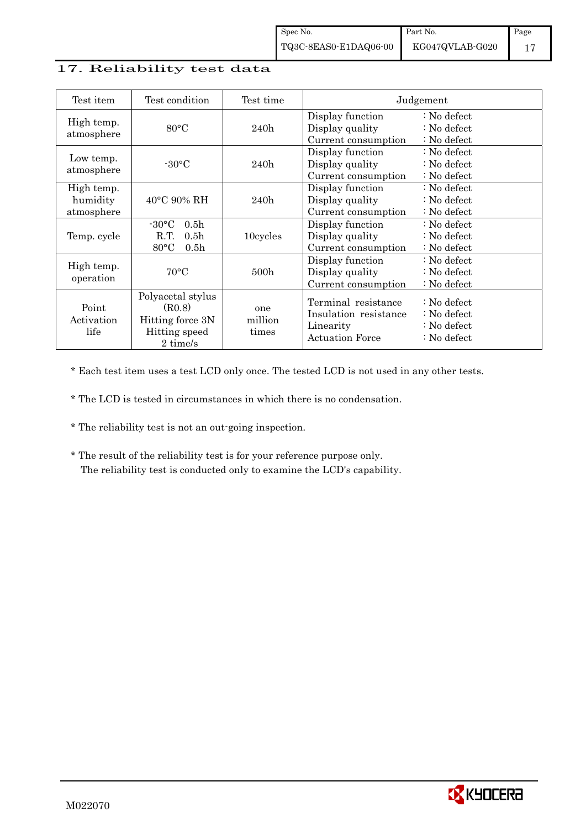## 17. Reliability test data

| Test item                            | Test condition                                                                                       | Test time               |                                                                                     | Judgement                                                                                 |
|--------------------------------------|------------------------------------------------------------------------------------------------------|-------------------------|-------------------------------------------------------------------------------------|-------------------------------------------------------------------------------------------|
| High temp.<br>atmosphere             | $80^{\circ}$ C                                                                                       | 240h                    | Display function<br>Display quality<br>Current consumption                          | $\therefore$ No defect<br>$\therefore$ No defect<br>: No defect                           |
| Low temp.<br>atmosphere              | $-30\degree C$                                                                                       | 240h                    | Display function<br>Display quality<br>Current consumption                          | $\therefore$ No defect<br>$\therefore$ No defect<br>$\therefore$ No defect                |
| High temp.<br>humidity<br>atmosphere | $40^{\circ}$ C 90% RH                                                                                | 240h                    | Display function<br>Display quality<br>Current consumption                          | : No defect<br>$\therefore$ No defect<br>: No defect                                      |
| Temp. cycle                          | $-30\degree C$<br>0.5 <sub>h</sub><br>R.T.<br>0.5 <sub>h</sub><br>$80^{\circ}$ C<br>0.5 <sub>h</sub> | 10cycles                | Display function<br>Display quality<br>Current consumption                          | $\therefore$ No defect<br>$\therefore$ No defect<br>$\therefore$ No defect                |
| High temp.<br>operation              | $70^{\circ}$ C                                                                                       | 500 <sub>h</sub>        | Display function<br>Display quality<br>Current consumption                          | $\therefore$ No defect<br>$\therefore$ No defect<br>: No defect                           |
| Point<br>Activation<br>life          | Polyacetal stylus<br>(R0.8)<br>Hitting force 3N<br>Hitting speed<br>2 time/s                         | one<br>million<br>times | Terminal resistance<br>Insulation resistance<br>Linearity<br><b>Actuation Force</b> | $\therefore$ No defect<br>: No defect<br>$\therefore$ No defect<br>$\therefore$ No defect |

\* Each test item uses a test LCD only once. The tested LCD is not used in any other tests.

\* The LCD is tested in circumstances in which there is no condensation.

\* The reliability test is not an out-going inspection.

 \* The result of the reliability test is for your reference purpose only. The reliability test is conducted only to examine the LCD's capability.

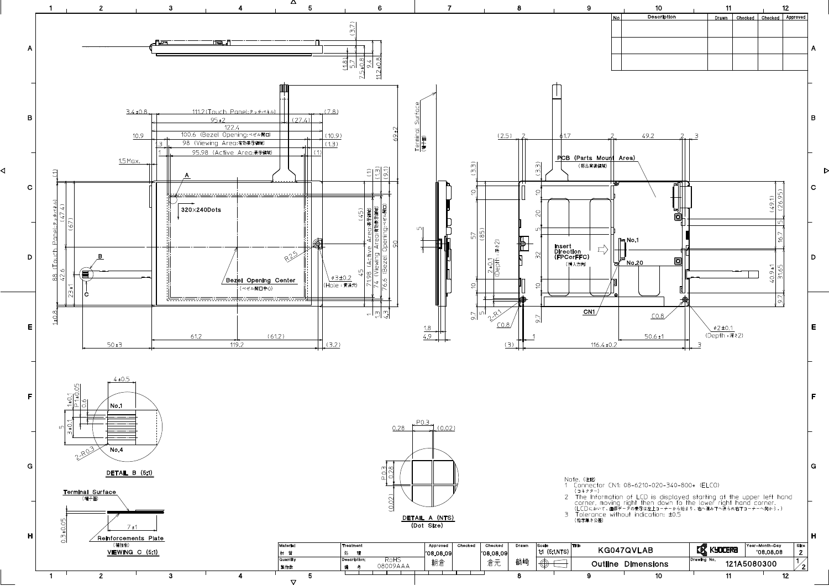

◁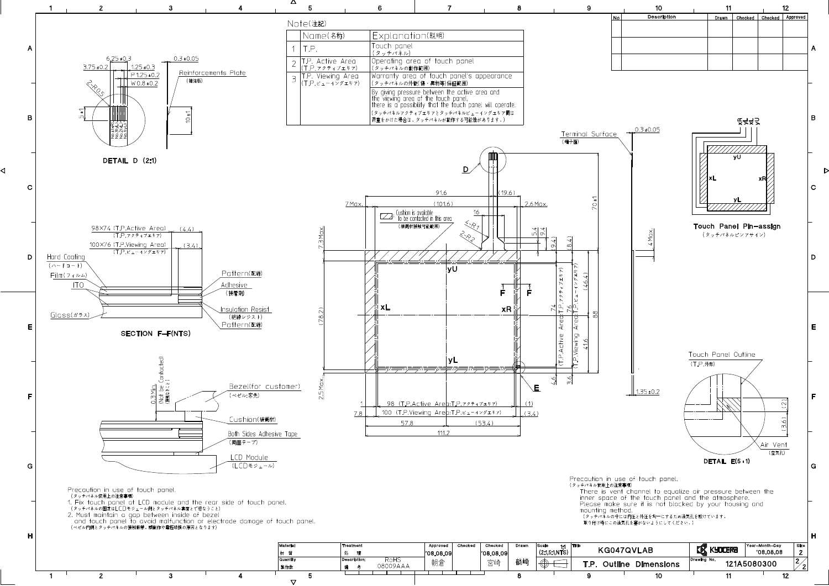

 $\triangledown$ 

◁

 $\overline{12}$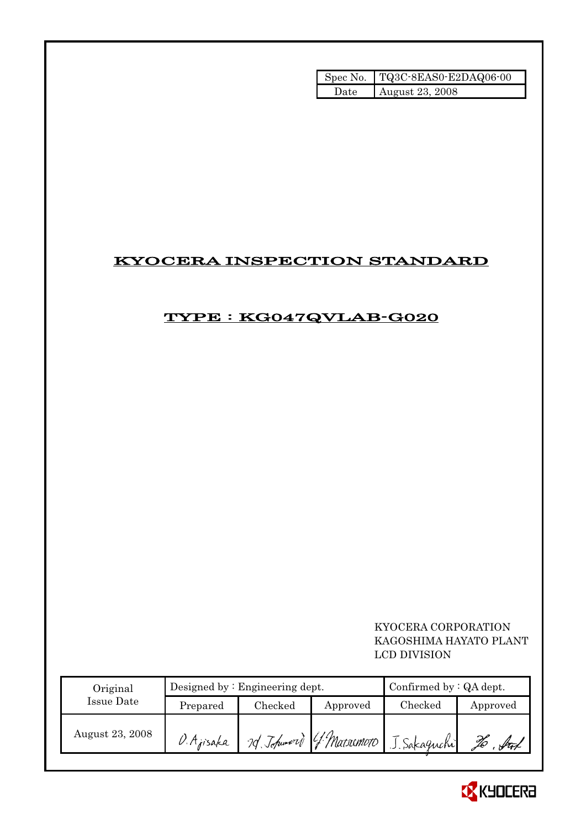|       | Spec No. TQ3C-8EAS0-E2DAQ06-00 |
|-------|--------------------------------|
| Date. | August 23, 2008                |

# KYOCERA INSPECTION STANDARD

# TYPE : KG047QVLAB-G020

# KYOCERA CORPORATION KAGOSHIMA HAYATO PLANT LCD DIVISION

| Original        |            | Designed by $:$ Engineering dept. | Confirmed by $:QA$ dept. |                                      |          |
|-----------------|------------|-----------------------------------|--------------------------|--------------------------------------|----------|
| Issue Date      | Prepared   | Checked                           | Approved                 | Checked                              | Approved |
| August 23, 2008 | O. Ajisaka |                                   |                          | 2d Johnson G. Matrimoto J. Sakaguchi |          |

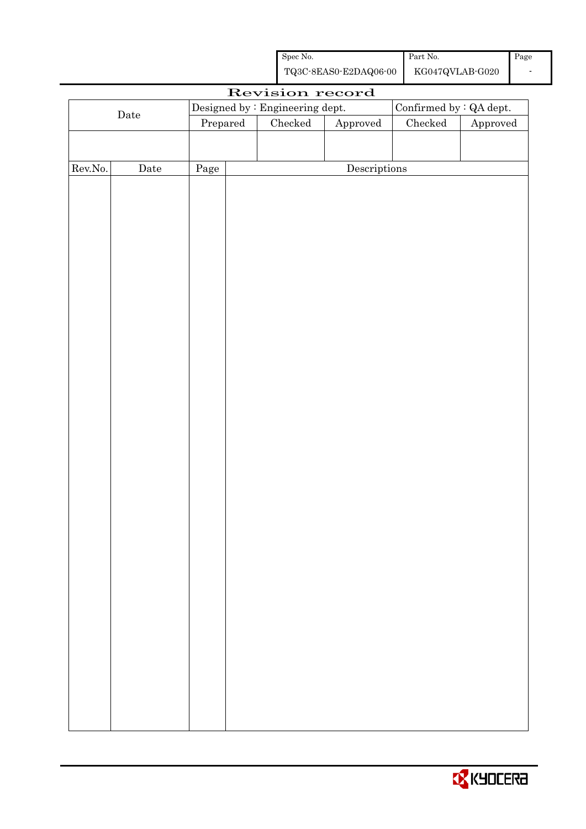| Spec No.              | Part No.        | Page |
|-----------------------|-----------------|------|
| TQ3C-8EAS0-E2DAQ06-00 | KG047QVLAB-G020 |      |

|         | Revision record |          |  |                                 |                        |                         |          |
|---------|-----------------|----------|--|---------------------------------|------------------------|-------------------------|----------|
|         |                 |          |  | Designed by : Engineering dept. |                        | Confirmed by : QA dept. |          |
|         | $\rm{Date}$     | Prepared |  | Checked                         | ${\Large\bf Approved}$ | $\rm Checked$           | Approved |
|         |                 |          |  |                                 |                        |                         |          |
|         |                 |          |  |                                 |                        |                         |          |
| Rev.No. | $\rm{Date}$     | Page     |  |                                 | Descriptions           |                         |          |
|         |                 |          |  |                                 |                        |                         |          |
|         |                 |          |  |                                 |                        |                         |          |
|         |                 |          |  |                                 |                        |                         |          |
|         |                 |          |  |                                 |                        |                         |          |
|         |                 |          |  |                                 |                        |                         |          |
|         |                 |          |  |                                 |                        |                         |          |
|         |                 |          |  |                                 |                        |                         |          |
|         |                 |          |  |                                 |                        |                         |          |
|         |                 |          |  |                                 |                        |                         |          |
|         |                 |          |  |                                 |                        |                         |          |
|         |                 |          |  |                                 |                        |                         |          |
|         |                 |          |  |                                 |                        |                         |          |
|         |                 |          |  |                                 |                        |                         |          |
|         |                 |          |  |                                 |                        |                         |          |
|         |                 |          |  |                                 |                        |                         |          |
|         |                 |          |  |                                 |                        |                         |          |
|         |                 |          |  |                                 |                        |                         |          |
|         |                 |          |  |                                 |                        |                         |          |
|         |                 |          |  |                                 |                        |                         |          |
|         |                 |          |  |                                 |                        |                         |          |
|         |                 |          |  |                                 |                        |                         |          |
|         |                 |          |  |                                 |                        |                         |          |
|         |                 |          |  |                                 |                        |                         |          |
|         |                 |          |  |                                 |                        |                         |          |
|         |                 |          |  |                                 |                        |                         |          |
|         |                 |          |  |                                 |                        |                         |          |
|         |                 |          |  |                                 |                        |                         |          |
|         |                 |          |  |                                 |                        |                         |          |
|         |                 |          |  |                                 |                        |                         |          |
|         |                 |          |  |                                 |                        |                         |          |
|         |                 |          |  |                                 |                        |                         |          |
|         |                 |          |  |                                 |                        |                         |          |
|         |                 |          |  |                                 |                        |                         |          |
|         |                 |          |  |                                 |                        |                         |          |
|         |                 |          |  |                                 |                        |                         |          |
|         |                 |          |  |                                 |                        |                         |          |

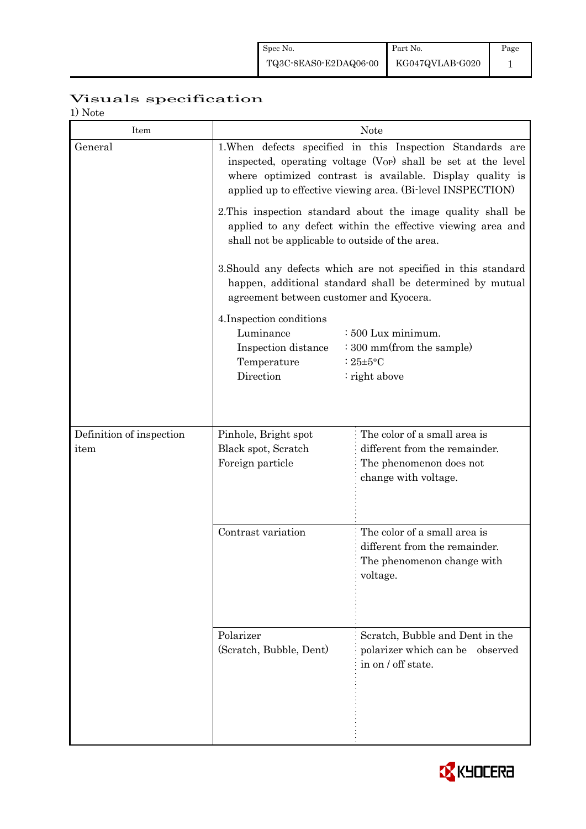# Visuals specification

1) Note

| Item                     |                                                                                                                                                                                                                                                                     | <b>Note</b>                                                                                                                 |  |  |  |  |  |
|--------------------------|---------------------------------------------------------------------------------------------------------------------------------------------------------------------------------------------------------------------------------------------------------------------|-----------------------------------------------------------------------------------------------------------------------------|--|--|--|--|--|
| General                  | 1. When defects specified in this Inspection Standards are<br>inspected, operating voltage (V <sub>OP</sub> ) shall be set at the level<br>where optimized contrast is available. Display quality is<br>applied up to effective viewing area. (Bi-level INSPECTION) |                                                                                                                             |  |  |  |  |  |
|                          | 2. This inspection standard about the image quality shall be<br>applied to any defect within the effective viewing area and<br>shall not be applicable to outside of the area.                                                                                      |                                                                                                                             |  |  |  |  |  |
|                          | agreement between customer and Kyocera.                                                                                                                                                                                                                             | 3. Should any defects which are not specified in this standard<br>happen, additional standard shall be determined by mutual |  |  |  |  |  |
|                          | 4. Inspection conditions<br>Luminance<br>: 500 Lux minimum.<br>: 300 mm(from the sample)<br>Inspection distance<br>Temperature<br>: $25 \pm 5$ °C<br>Direction<br>: right above                                                                                     |                                                                                                                             |  |  |  |  |  |
| Definition of inspection | Pinhole, Bright spot                                                                                                                                                                                                                                                | The color of a small area is                                                                                                |  |  |  |  |  |
| item                     | Black spot, Scratch<br>Foreign particle                                                                                                                                                                                                                             | different from the remainder.<br>The phenomenon does not<br>change with voltage.                                            |  |  |  |  |  |
|                          | Contrast variation                                                                                                                                                                                                                                                  | The color of a small area is<br>different from the remainder.<br>The phenomenon change with<br>voltage.                     |  |  |  |  |  |
|                          | Polarizer<br>(Scratch, Bubble, Dent)                                                                                                                                                                                                                                | Scratch, Bubble and Dent in the<br>polarizer which can be observed<br>in on / off state.                                    |  |  |  |  |  |

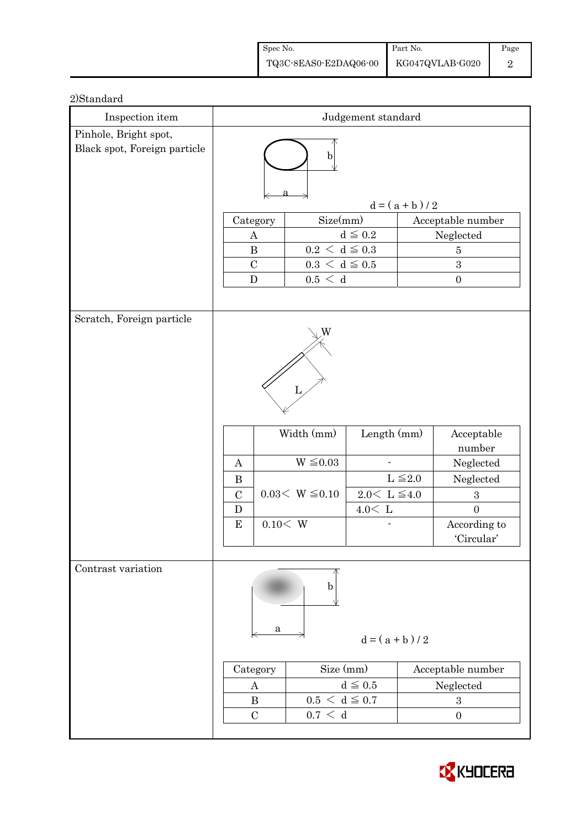| Spec No.              | Part No.        | Page |
|-----------------------|-----------------|------|
| TQ3C-8EAS0-E2DAQ06-00 | KG047QVLAB-G020 |      |

| 70 vanuari<br>Inspection item                         | $\it{Judgement}$ $\it standard$                   |                                     |                                     |                   |                   |  |
|-------------------------------------------------------|---------------------------------------------------|-------------------------------------|-------------------------------------|-------------------|-------------------|--|
| Pinhole, Bright spot,<br>Black spot, Foreign particle |                                                   |                                     |                                     |                   |                   |  |
|                                                       | $\mathbf b$                                       |                                     |                                     |                   |                   |  |
|                                                       |                                                   |                                     |                                     |                   |                   |  |
|                                                       | $d = (a + b)/2$                                   |                                     |                                     |                   |                   |  |
|                                                       | Size(mm)<br>Category                              |                                     |                                     | Acceptable number |                   |  |
|                                                       | $d\leqq0.2$<br>$\mathbf{A}$                       |                                     |                                     | Neglected         |                   |  |
|                                                       | $0.2\,<\,\mathrm{d}\leq0.3$<br>$\bf{B}$           |                                     |                                     | $\overline{5}$    |                   |  |
|                                                       | $\mathcal{C}$<br>${\bf D}$                        | $0.3\,<\,\rm d \leq 0.5$<br>0.5 < d |                                     |                   | 3<br>$\mathbf{0}$ |  |
|                                                       |                                                   |                                     |                                     |                   |                   |  |
|                                                       |                                                   |                                     |                                     |                   |                   |  |
| Scratch, Foreign particle                             |                                                   |                                     |                                     |                   |                   |  |
|                                                       |                                                   |                                     |                                     |                   |                   |  |
|                                                       |                                                   |                                     |                                     |                   |                   |  |
|                                                       |                                                   |                                     |                                     |                   |                   |  |
|                                                       |                                                   | L                                   |                                     |                   |                   |  |
|                                                       |                                                   |                                     |                                     |                   |                   |  |
|                                                       | Width (mm)<br>Length (mm)                         |                                     |                                     |                   | Acceptable        |  |
|                                                       |                                                   |                                     |                                     |                   | number            |  |
|                                                       | A                                                 | $W \leq 0.03$                       |                                     |                   | Neglected         |  |
|                                                       | $\bf{B}$                                          |                                     |                                     | $L \leq 2.0$      | Neglected         |  |
|                                                       | $\mathcal{C}$                                     | $0.03< W \leq 0.10$                 | $2.0 \le L \le 4.0$                 |                   | 3                 |  |
|                                                       | D                                                 |                                     | $4.0<\,$ L                          |                   | $\overline{0}$    |  |
|                                                       | ${\bf E}$                                         | 0.10 < W                            |                                     |                   | According to      |  |
|                                                       |                                                   |                                     |                                     |                   | 'Circular'        |  |
| Contrast variation                                    |                                                   |                                     |                                     |                   |                   |  |
|                                                       |                                                   |                                     |                                     |                   |                   |  |
|                                                       |                                                   | b                                   |                                     |                   |                   |  |
|                                                       |                                                   |                                     |                                     |                   |                   |  |
|                                                       |                                                   | a                                   |                                     |                   |                   |  |
|                                                       |                                                   |                                     | $d = (a + b)/2$                     |                   |                   |  |
|                                                       | Category                                          |                                     | Size (mm)                           |                   | Acceptable number |  |
|                                                       | A                                                 |                                     | $d \leqq 0.5$<br>$0.5 < d \leq 0.7$ |                   | Neglected         |  |
|                                                       | $\bf{B}$                                          |                                     |                                     |                   | $\,3$             |  |
|                                                       | $0.7\,<\,$ d<br>$\mathcal{C}$<br>$\boldsymbol{0}$ |                                     |                                     |                   |                   |  |
|                                                       |                                                   |                                     |                                     |                   |                   |  |

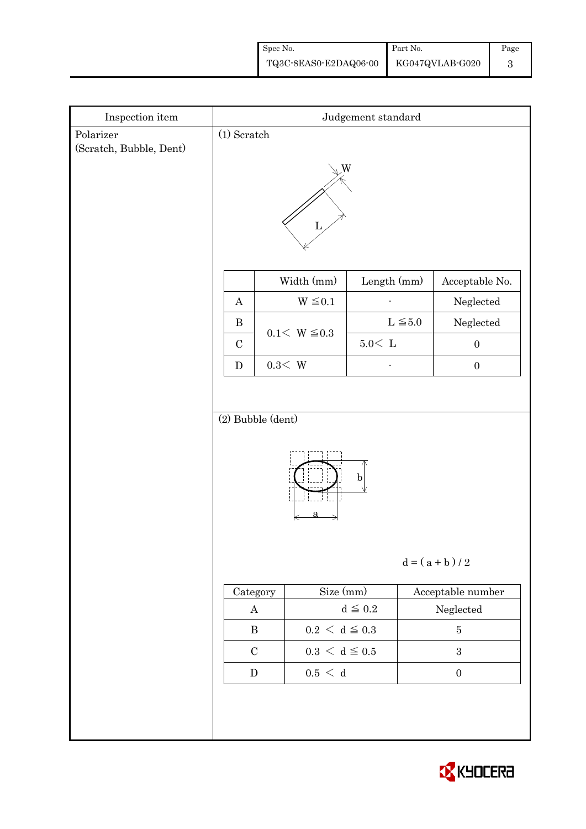| Spec No.                              | Part No. | Page |
|---------------------------------------|----------|------|
| TQ3C-8EAS0-E2DAQ06-00 KG047QVLAB-G020 |          |      |

| $\!$ Inspection item                 | Judgement standard               |                             |               |                   |  |  |
|--------------------------------------|----------------------------------|-----------------------------|---------------|-------------------|--|--|
| Polarizer<br>(Scratch, Bubble, Dent) | $(1)$ Scratch                    |                             |               |                   |  |  |
|                                      | W<br>L                           |                             |               |                   |  |  |
|                                      |                                  | Width (mm)                  | Length (mm)   | Acceptable No.    |  |  |
|                                      | $\boldsymbol{A}$                 | $W \leq 0.1$                |               | Neglected         |  |  |
|                                      | $\bf{B}$<br>$\mathbf C$          | $0.1 < W \le 0.3$           | $L \leq 5.0$  | Neglected         |  |  |
|                                      |                                  |                             | $5.0\rm <\ L$ | $\boldsymbol{0}$  |  |  |
|                                      | ${\bf D}$                        | $0.3<\,$ W                  |               | $\boldsymbol{0}$  |  |  |
|                                      | $(2)$ Bubble $(dent)$            |                             |               |                   |  |  |
|                                      | $\mathbf b$<br>$d = (a + b) / 2$ |                             |               |                   |  |  |
|                                      | Category                         | Size (mm)                   |               | Acceptable number |  |  |
|                                      | $\boldsymbol{A}$                 |                             | $d \leqq 0.2$ | ${\bf Neglected}$ |  |  |
|                                      | $\, {\bf B}$                     | $0.2\,<\,\mathrm{d}\leq0.3$ |               | $\bf 5$           |  |  |
|                                      | $\mathbf C$                      | $0.3\,<\,\mathrm{d}\leq0.5$ |               | $\sqrt{3}$        |  |  |
|                                      | ${\bf D}$                        | $0.5\,<\,$ d                |               | $\boldsymbol{0}$  |  |  |
|                                      |                                  |                             |               |                   |  |  |